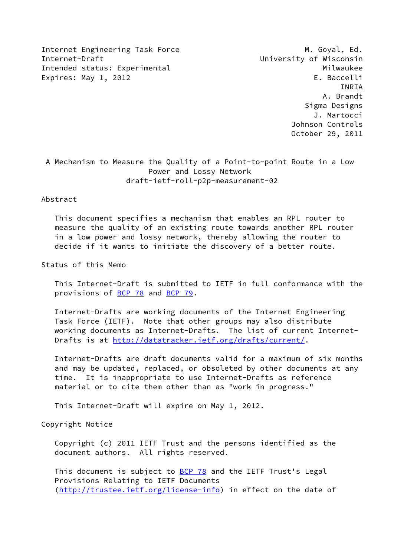Internet Engineering Task Force M. Goyal, Ed. Internet-Draft University of Wisconsin Intended status: Experimental Milwaukee Expires: May 1, 2012 **Expires:** May 1, 2012

 INRIA A. Brandt Sigma Designs J. Martocci Johnson Controls October 29, 2011

 A Mechanism to Measure the Quality of a Point-to-point Route in a Low Power and Lossy Network draft-ietf-roll-p2p-measurement-02

#### Abstract

 This document specifies a mechanism that enables an RPL router to measure the quality of an existing route towards another RPL router in a low power and lossy network, thereby allowing the router to decide if it wants to initiate the discovery of a better route.

Status of this Memo

 This Internet-Draft is submitted to IETF in full conformance with the provisions of [BCP 78](https://datatracker.ietf.org/doc/pdf/bcp78) and [BCP 79](https://datatracker.ietf.org/doc/pdf/bcp79).

 Internet-Drafts are working documents of the Internet Engineering Task Force (IETF). Note that other groups may also distribute working documents as Internet-Drafts. The list of current Internet- Drafts is at<http://datatracker.ietf.org/drafts/current/>.

 Internet-Drafts are draft documents valid for a maximum of six months and may be updated, replaced, or obsoleted by other documents at any time. It is inappropriate to use Internet-Drafts as reference material or to cite them other than as "work in progress."

This Internet-Draft will expire on May 1, 2012.

Copyright Notice

 Copyright (c) 2011 IETF Trust and the persons identified as the document authors. All rights reserved.

This document is subject to **[BCP 78](https://datatracker.ietf.org/doc/pdf/bcp78)** and the IETF Trust's Legal Provisions Relating to IETF Documents [\(http://trustee.ietf.org/license-info](http://trustee.ietf.org/license-info)) in effect on the date of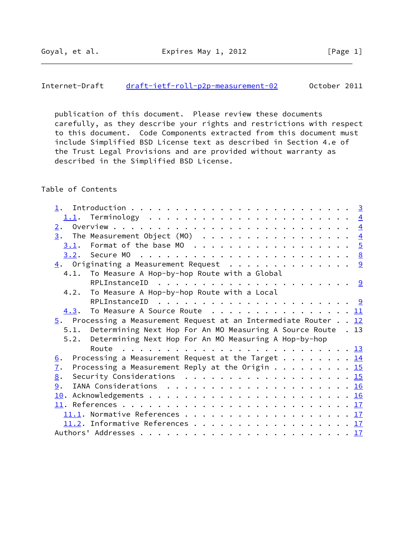## Internet-Draft [draft-ietf-roll-p2p-measurement-02](https://datatracker.ietf.org/doc/pdf/draft-ietf-roll-p2p-measurement-02) October 2011

 publication of this document. Please review these documents carefully, as they describe your rights and restrictions with respect to this document. Code Components extracted from this document must include Simplified BSD License text as described in Section 4.e of the Trust Legal Provisions and are provided without warranty as described in the Simplified BSD License.

## Table of Contents

| 1.               |                                                                                          |  |  |  |
|------------------|------------------------------------------------------------------------------------------|--|--|--|
|                  |                                                                                          |  |  |  |
| 2.               |                                                                                          |  |  |  |
|                  | $\underline{3}$ . The Measurement Object (MO) 4                                          |  |  |  |
|                  |                                                                                          |  |  |  |
|                  |                                                                                          |  |  |  |
|                  | $\underline{4}$ . Originating a Measurement Request 9                                    |  |  |  |
|                  | 4.1. To Measure A Hop-by-hop Route with a Global                                         |  |  |  |
|                  |                                                                                          |  |  |  |
|                  | 4.2. To Measure A Hop-by-hop Route with a Local                                          |  |  |  |
|                  |                                                                                          |  |  |  |
|                  | 4.3. To Measure A Source Route 11                                                        |  |  |  |
|                  | $\overline{5}$ . Processing a Measurement Request at an Intermediate Router 12           |  |  |  |
|                  |                                                                                          |  |  |  |
|                  | 5.1. Determining Next Hop For An MO Measuring A Source Route . 13                        |  |  |  |
| 5.2.             |                                                                                          |  |  |  |
|                  | Determining Next Hop For An MO Measuring A Hop-by-hop                                    |  |  |  |
|                  |                                                                                          |  |  |  |
| 6.               | Processing a Measurement Request at the Target 14                                        |  |  |  |
| $\overline{1}$ . | Processing a Measurement Reply at the Origin 15                                          |  |  |  |
| 8.               | Security Considerations $\ldots \ldots \ldots \ldots \ldots \ldots \ldots \frac{15}{15}$ |  |  |  |
| 9.               |                                                                                          |  |  |  |
|                  |                                                                                          |  |  |  |
|                  |                                                                                          |  |  |  |
|                  |                                                                                          |  |  |  |
|                  | 11.2. Informative References 17                                                          |  |  |  |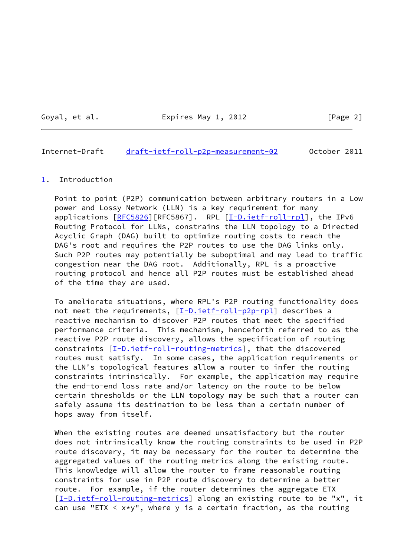Goyal, et al. **Expires May 1, 2012** [Page 2]

#### <span id="page-2-1"></span>Internet-Draft [draft-ietf-roll-p2p-measurement-02](https://datatracker.ietf.org/doc/pdf/draft-ietf-roll-p2p-measurement-02) October 2011

#### <span id="page-2-0"></span>[1](#page-2-0). Introduction

 Point to point (P2P) communication between arbitrary routers in a Low power and Lossy Network (LLN) is a key requirement for many applications [\[RFC5826](https://datatracker.ietf.org/doc/pdf/rfc5826)][RFC5867]. RPL [[I-D.ietf-roll-rpl\]](#page-18-3), the IPv6 Routing Protocol for LLNs, constrains the LLN topology to a Directed Acyclic Graph (DAG) built to optimize routing costs to reach the DAG's root and requires the P2P routes to use the DAG links only. Such P2P routes may potentially be suboptimal and may lead to traffic congestion near the DAG root. Additionally, RPL is a proactive routing protocol and hence all P2P routes must be established ahead of the time they are used.

 To ameliorate situations, where RPL's P2P routing functionality does not meet the requirements, [[I-D.ietf-roll-p2p-rpl\]](#page-18-4) describes a reactive mechanism to discover P2P routes that meet the specified performance criteria. This mechanism, henceforth referred to as the reactive P2P route discovery, allows the specification of routing constraints  $[I-D.iett-roll-routine-metrics]$ , that the discovered routes must satisfy. In some cases, the application requirements or the LLN's topological features allow a router to infer the routing constraints intrinsically. For example, the application may require the end-to-end loss rate and/or latency on the route to be below certain thresholds or the LLN topology may be such that a router can safely assume its destination to be less than a certain number of hops away from itself.

 When the existing routes are deemed unsatisfactory but the router does not intrinsically know the routing constraints to be used in P2P route discovery, it may be necessary for the router to determine the aggregated values of the routing metrics along the existing route. This knowledge will allow the router to frame reasonable routing constraints for use in P2P route discovery to determine a better route. For example, if the router determines the aggregate ETX [\[I-D.ietf-roll-routing-metrics](#page-18-5)] along an existing route to be "x", it can use "ETX  $\langle x*y"$ , where y is a certain fraction, as the routing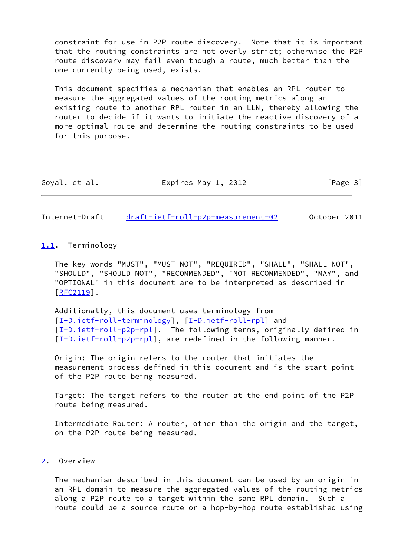constraint for use in P2P route discovery. Note that it is important that the routing constraints are not overly strict; otherwise the P2P route discovery may fail even though a route, much better than the one currently being used, exists.

 This document specifies a mechanism that enables an RPL router to measure the aggregated values of the routing metrics along an existing route to another RPL router in an LLN, thereby allowing the router to decide if it wants to initiate the reactive discovery of a more optimal route and determine the routing constraints to be used for this purpose.

| Goyal, et al. | Expires May 1, 2012 | [Page 3] |
|---------------|---------------------|----------|
|---------------|---------------------|----------|

<span id="page-3-1"></span>Internet-Draft [draft-ietf-roll-p2p-measurement-02](https://datatracker.ietf.org/doc/pdf/draft-ietf-roll-p2p-measurement-02) October 2011

## <span id="page-3-0"></span>[1.1](#page-3-0). Terminology

 The key words "MUST", "MUST NOT", "REQUIRED", "SHALL", "SHALL NOT", "SHOULD", "SHOULD NOT", "RECOMMENDED", "NOT RECOMMENDED", "MAY", and "OPTIONAL" in this document are to be interpreted as described in [\[RFC2119](https://datatracker.ietf.org/doc/pdf/rfc2119)].

 Additionally, this document uses terminology from [\[I-D.ietf-roll-terminology](#page-18-6)], [\[I-D.ietf-roll-rpl\]](#page-18-3) and [\[I-D.ietf-roll-p2p-rpl](#page-18-4)]. The following terms, originally defined in [\[I-D.ietf-roll-p2p-rpl](#page-18-4)], are redefined in the following manner.

 Origin: The origin refers to the router that initiates the measurement process defined in this document and is the start point of the P2P route being measured.

 Target: The target refers to the router at the end point of the P2P route being measured.

 Intermediate Router: A router, other than the origin and the target, on the P2P route being measured.

# <span id="page-3-2"></span>[2](#page-3-2). Overview

 The mechanism described in this document can be used by an origin in an RPL domain to measure the aggregated values of the routing metrics along a P2P route to a target within the same RPL domain. Such a route could be a source route or a hop-by-hop route established using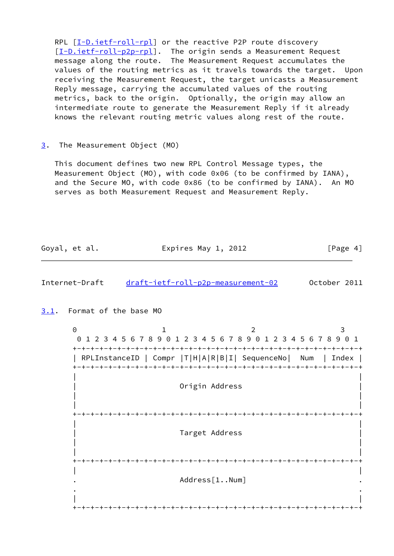RPL  $[I-D.ietf-roll-rpl]$  $[I-D.ietf-roll-rpl]$  or the reactive P2P route discovery [\[I-D.ietf-roll-p2p-rpl](#page-18-4)]. The origin sends a Measurement Request message along the route. The Measurement Request accumulates the values of the routing metrics as it travels towards the target. Upon receiving the Measurement Request, the target unicasts a Measurement Reply message, carrying the accumulated values of the routing metrics, back to the origin. Optionally, the origin may allow an intermediate route to generate the Measurement Reply if it already knows the relevant routing metric values along rest of the route.

#### <span id="page-4-0"></span>[3](#page-4-0). The Measurement Object (MO)

 This document defines two new RPL Control Message types, the Measurement Object (MO), with code 0x06 (to be confirmed by IANA), and the Secure MO, with code 0x86 (to be confirmed by IANA). An MO serves as both Measurement Request and Measurement Reply.

Goyal, et al. Expires May 1, 2012 [Page 4]

<span id="page-4-2"></span>Internet-Draft [draft-ietf-roll-p2p-measurement-02](https://datatracker.ietf.org/doc/pdf/draft-ietf-roll-p2p-measurement-02) October 2011

<span id="page-4-1"></span>[3.1](#page-4-1). Format of the base MO

0 1 2 3 0 1 2 3 4 5 6 7 8 9 0 1 2 3 4 5 6 7 8 9 0 1 2 3 4 5 6 7 8 9 0 1 +-+-+-+-+-+-+-+-+-+-+-+-+-+-+-+-+-+-+-+-+-+-+-+-+-+-+-+-+-+-+-+-+ | RPLInstanceID | Compr |T|H|A|R|B|I| SequenceNo| Num | Index | +-+-+-+-+-+-+-+-+-+-+-+-+-+-+-+-+-+-+-+-+-+-+-+-+-+-+-+-+-+-+-+-+ | | Origin Address | | | | +-+-+-+-+-+-+-+-+-+-+-+-+-+-+-+-+-+-+-+-+-+-+-+-+-+-+-+-+-+-+-+-+ | | Target Address | | | | +-+-+-+-+-+-+-+-+-+-+-+-+-+-+-+-+-+-+-+-+-+-+-+-+-+-+-+-+-+-+-+-+ | | Address[1..Num] . . | | +-+-+-+-+-+-+-+-+-+-+-+-+-+-+-+-+-+-+-+-+-+-+-+-+-+-+-+-+-+-+-+-+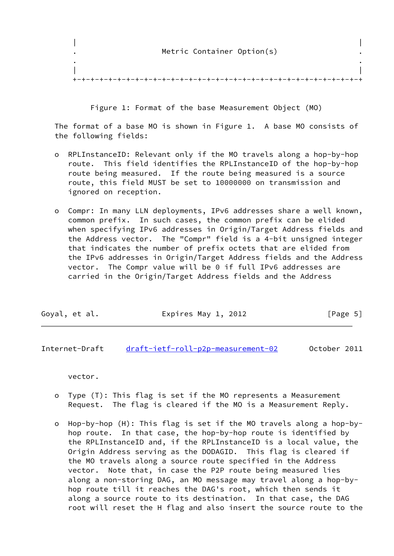| | Metric Container Option(s) . . | | +-+-+-+-+-+-+-+-+-+-+-+-+-+-+-+-+-+-+-+-+-+-+-+-+-+-+-+-+-+-+-+-+

Figure 1: Format of the base Measurement Object (MO)

 The format of a base MO is shown in Figure 1. A base MO consists of the following fields:

- o RPLInstanceID: Relevant only if the MO travels along a hop-by-hop route. This field identifies the RPLInstanceID of the hop-by-hop route being measured. If the route being measured is a source route, this field MUST be set to 10000000 on transmission and ignored on reception.
- o Compr: In many LLN deployments, IPv6 addresses share a well known, common prefix. In such cases, the common prefix can be elided when specifying IPv6 addresses in Origin/Target Address fields and the Address vector. The "Compr" field is a 4-bit unsigned integer that indicates the number of prefix octets that are elided from the IPv6 addresses in Origin/Target Address fields and the Address vector. The Compr value will be 0 if full IPv6 addresses are carried in the Origin/Target Address fields and the Address

| Goyal, et al. | Expires May 1, 2012 | [Page 5] |
|---------------|---------------------|----------|
|---------------|---------------------|----------|

Internet-Draft [draft-ietf-roll-p2p-measurement-02](https://datatracker.ietf.org/doc/pdf/draft-ietf-roll-p2p-measurement-02) October 2011

vector.

- o Type (T): This flag is set if the MO represents a Measurement Request. The flag is cleared if the MO is a Measurement Reply.
- o Hop-by-hop (H): This flag is set if the MO travels along a hop-by hop route. In that case, the hop-by-hop route is identified by the RPLInstanceID and, if the RPLInstanceID is a local value, the Origin Address serving as the DODAGID. This flag is cleared if the MO travels along a source route specified in the Address vector. Note that, in case the P2P route being measured lies along a non-storing DAG, an MO message may travel along a hop-by hop route till it reaches the DAG's root, which then sends it along a source route to its destination. In that case, the DAG root will reset the H flag and also insert the source route to the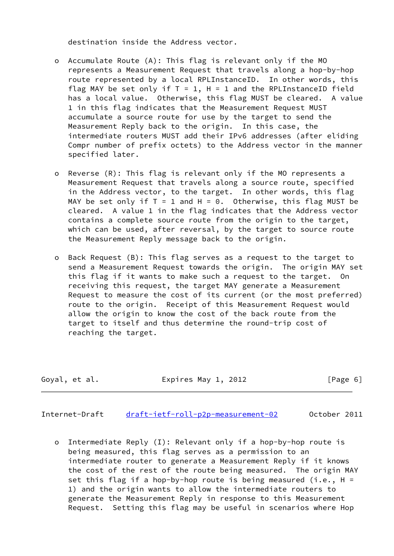destination inside the Address vector.

- o Accumulate Route (A): This flag is relevant only if the MO represents a Measurement Request that travels along a hop-by-hop route represented by a local RPLInstanceID. In other words, this flag MAY be set only if  $T = 1$ ,  $H = 1$  and the RPLInstanceID field has a local value. Otherwise, this flag MUST be cleared. A value 1 in this flag indicates that the Measurement Request MUST accumulate a source route for use by the target to send the Measurement Reply back to the origin. In this case, the intermediate routers MUST add their IPv6 addresses (after eliding Compr number of prefix octets) to the Address vector in the manner specified later.
- o Reverse (R): This flag is relevant only if the MO represents a Measurement Request that travels along a source route, specified in the Address vector, to the target. In other words, this flag MAY be set only if  $T = 1$  and  $H = 0$ . Otherwise, this flag MUST be cleared. A value 1 in the flag indicates that the Address vector contains a complete source route from the origin to the target, which can be used, after reversal, by the target to source route the Measurement Reply message back to the origin.
- o Back Request (B): This flag serves as a request to the target to send a Measurement Request towards the origin. The origin MAY set this flag if it wants to make such a request to the target. On receiving this request, the target MAY generate a Measurement Request to measure the cost of its current (or the most preferred) route to the origin. Receipt of this Measurement Request would allow the origin to know the cost of the back route from the target to itself and thus determine the round-trip cost of reaching the target.

Goyal, et al. Expires May 1, 2012 [Page 6]

Internet-Draft [draft-ietf-roll-p2p-measurement-02](https://datatracker.ietf.org/doc/pdf/draft-ietf-roll-p2p-measurement-02) October 2011

 o Intermediate Reply (I): Relevant only if a hop-by-hop route is being measured, this flag serves as a permission to an intermediate router to generate a Measurement Reply if it knows the cost of the rest of the route being measured. The origin MAY set this flag if a hop-by-hop route is being measured (i.e.,  $H =$  1) and the origin wants to allow the intermediate routers to generate the Measurement Reply in response to this Measurement Request. Setting this flag may be useful in scenarios where Hop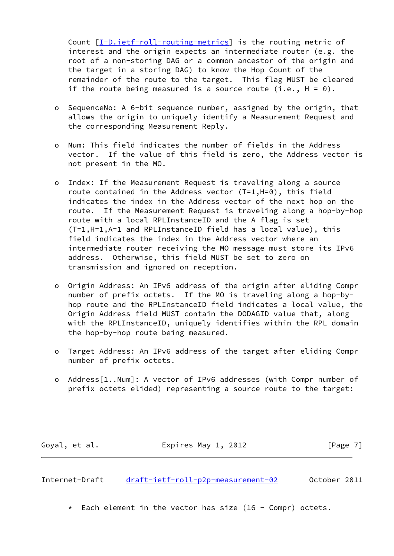Count [\[I-D.ietf-roll-routing-metrics\]](#page-18-5) is the routing metric of interest and the origin expects an intermediate router (e.g. the root of a non-storing DAG or a common ancestor of the origin and the target in a storing DAG) to know the Hop Count of the remainder of the route to the target. This flag MUST be cleared if the route being measured is a source route (i.e.,  $H = 0$ ).

- o SequenceNo: A 6-bit sequence number, assigned by the origin, that allows the origin to uniquely identify a Measurement Request and the corresponding Measurement Reply.
- o Num: This field indicates the number of fields in the Address vector. If the value of this field is zero, the Address vector is not present in the MO.
- o Index: If the Measurement Request is traveling along a source route contained in the Address vector (T=1,H=0), this field indicates the index in the Address vector of the next hop on the route. If the Measurement Request is traveling along a hop-by-hop route with a local RPLInstanceID and the A flag is set (T=1,H=1,A=1 and RPLInstanceID field has a local value), this field indicates the index in the Address vector where an intermediate router receiving the MO message must store its IPv6 address. Otherwise, this field MUST be set to zero on transmission and ignored on reception.
- o Origin Address: An IPv6 address of the origin after eliding Compr number of prefix octets. If the MO is traveling along a hop-by hop route and the RPLInstanceID field indicates a local value, the Origin Address field MUST contain the DODAGID value that, along with the RPLInstanceID, uniquely identifies within the RPL domain the hop-by-hop route being measured.
- o Target Address: An IPv6 address of the target after eliding Compr number of prefix octets.
- o Address[1..Num]: A vector of IPv6 addresses (with Compr number of prefix octets elided) representing a source route to the target:

Goyal, et al. Expires May 1, 2012 [Page 7]

<span id="page-7-0"></span>Internet-Draft [draft-ietf-roll-p2p-measurement-02](https://datatracker.ietf.org/doc/pdf/draft-ietf-roll-p2p-measurement-02) October 2011

 $*$  Each element in the vector has size (16 - Compr) octets.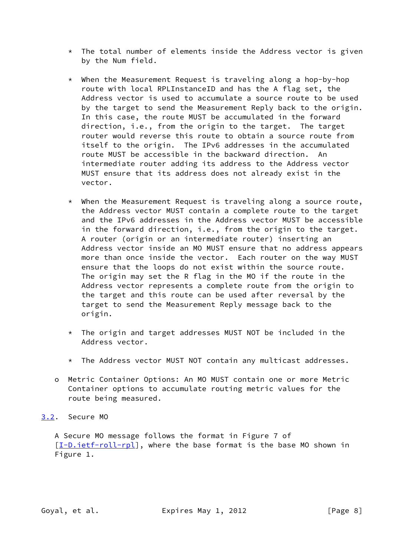- \* The total number of elements inside the Address vector is given by the Num field.
- \* When the Measurement Request is traveling along a hop-by-hop route with local RPLInstanceID and has the A flag set, the Address vector is used to accumulate a source route to be used by the target to send the Measurement Reply back to the origin. In this case, the route MUST be accumulated in the forward direction, i.e., from the origin to the target. The target router would reverse this route to obtain a source route from itself to the origin. The IPv6 addresses in the accumulated route MUST be accessible in the backward direction. An intermediate router adding its address to the Address vector MUST ensure that its address does not already exist in the vector.
- $*$  When the Measurement Request is traveling along a source route, the Address vector MUST contain a complete route to the target and the IPv6 addresses in the Address vector MUST be accessible in the forward direction, i.e., from the origin to the target. A router (origin or an intermediate router) inserting an Address vector inside an MO MUST ensure that no address appears more than once inside the vector. Each router on the way MUST ensure that the loops do not exist within the source route. The origin may set the R flag in the MO if the route in the Address vector represents a complete route from the origin to the target and this route can be used after reversal by the target to send the Measurement Reply message back to the origin.
- \* The origin and target addresses MUST NOT be included in the Address vector.
- \* The Address vector MUST NOT contain any multicast addresses.
- o Metric Container Options: An MO MUST contain one or more Metric Container options to accumulate routing metric values for the route being measured.
- <span id="page-8-0"></span>[3.2](#page-8-0). Secure MO

 A Secure MO message follows the format in Figure 7 of [\[I-D.ietf-roll-rpl](#page-18-3)], where the base format is the base MO shown in Figure 1.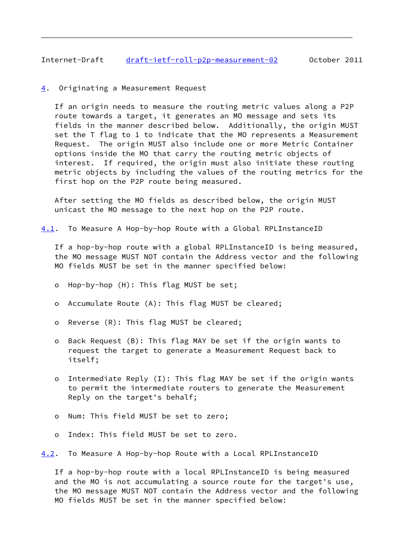## <span id="page-9-1"></span>Internet-Draft [draft-ietf-roll-p2p-measurement-02](https://datatracker.ietf.org/doc/pdf/draft-ietf-roll-p2p-measurement-02) October 2011

<span id="page-9-0"></span>[4](#page-9-0). Originating a Measurement Request

 If an origin needs to measure the routing metric values along a P2P route towards a target, it generates an MO message and sets its fields in the manner described below. Additionally, the origin MUST set the T flag to 1 to indicate that the MO represents a Measurement Request. The origin MUST also include one or more Metric Container options inside the MO that carry the routing metric objects of interest. If required, the origin must also initiate these routing metric objects by including the values of the routing metrics for the first hop on the P2P route being measured.

 After setting the MO fields as described below, the origin MUST unicast the MO message to the next hop on the P2P route.

<span id="page-9-2"></span>[4.1](#page-9-2). To Measure A Hop-by-hop Route with a Global RPLInstanceID

 If a hop-by-hop route with a global RPLInstanceID is being measured, the MO message MUST NOT contain the Address vector and the following MO fields MUST be set in the manner specified below:

- o Hop-by-hop (H): This flag MUST be set;
- o Accumulate Route (A): This flag MUST be cleared;
- o Reverse (R): This flag MUST be cleared;
- o Back Request (B): This flag MAY be set if the origin wants to request the target to generate a Measurement Request back to itself;
- o Intermediate Reply (I): This flag MAY be set if the origin wants to permit the intermediate routers to generate the Measurement Reply on the target's behalf;
- o Num: This field MUST be set to zero;
- o Index: This field MUST be set to zero.

<span id="page-9-3"></span>[4.2](#page-9-3). To Measure A Hop-by-hop Route with a Local RPLInstanceID

 If a hop-by-hop route with a local RPLInstanceID is being measured and the MO is not accumulating a source route for the target's use, the MO message MUST NOT contain the Address vector and the following MO fields MUST be set in the manner specified below: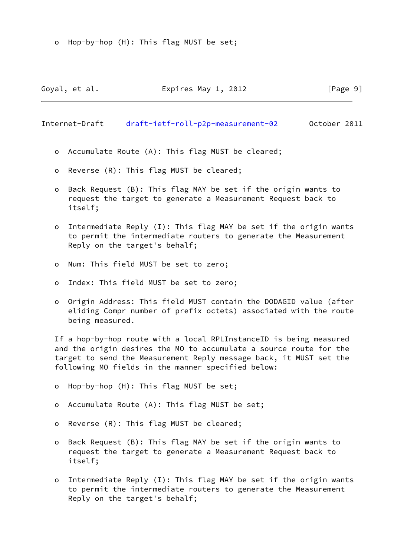o Hop-by-hop (H): This flag MUST be set;

Goyal, et al. **Expires May 1, 2012** [Page 9]

Internet-Draft [draft-ietf-roll-p2p-measurement-02](https://datatracker.ietf.org/doc/pdf/draft-ietf-roll-p2p-measurement-02) October 2011

- o Accumulate Route (A): This flag MUST be cleared;
- o Reverse (R): This flag MUST be cleared;
- o Back Request (B): This flag MAY be set if the origin wants to request the target to generate a Measurement Request back to itself;
- o Intermediate Reply (I): This flag MAY be set if the origin wants to permit the intermediate routers to generate the Measurement Reply on the target's behalf;
- o Num: This field MUST be set to zero;
- o Index: This field MUST be set to zero;
- o Origin Address: This field MUST contain the DODAGID value (after eliding Compr number of prefix octets) associated with the route being measured.

 If a hop-by-hop route with a local RPLInstanceID is being measured and the origin desires the MO to accumulate a source route for the target to send the Measurement Reply message back, it MUST set the following MO fields in the manner specified below:

- o Hop-by-hop (H): This flag MUST be set;
- o Accumulate Route (A): This flag MUST be set;
- o Reverse (R): This flag MUST be cleared;
- o Back Request (B): This flag MAY be set if the origin wants to request the target to generate a Measurement Request back to itself;
- o Intermediate Reply (I): This flag MAY be set if the origin wants to permit the intermediate routers to generate the Measurement Reply on the target's behalf;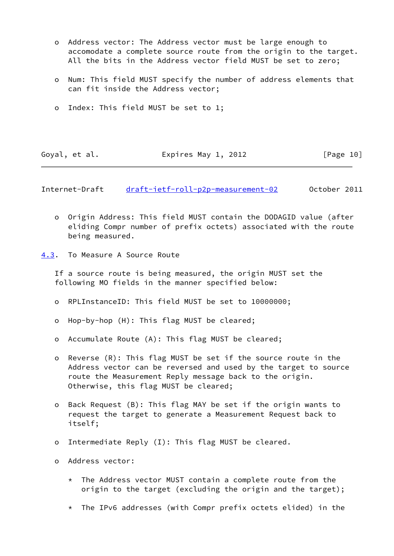- o Address vector: The Address vector must be large enough to accomodate a complete source route from the origin to the target. All the bits in the Address vector field MUST be set to zero;
- o Num: This field MUST specify the number of address elements that can fit inside the Address vector;
- o Index: This field MUST be set to 1;

Goyal, et al. **Expires May 1, 2012** [Page 10]

<span id="page-11-1"></span>Internet-Draft [draft-ietf-roll-p2p-measurement-02](https://datatracker.ietf.org/doc/pdf/draft-ietf-roll-p2p-measurement-02) October 2011

 o Origin Address: This field MUST contain the DODAGID value (after eliding Compr number of prefix octets) associated with the route being measured.

<span id="page-11-0"></span>[4.3](#page-11-0). To Measure A Source Route

 If a source route is being measured, the origin MUST set the following MO fields in the manner specified below:

- o RPLInstanceID: This field MUST be set to 10000000;
- o Hop-by-hop (H): This flag MUST be cleared;
- o Accumulate Route (A): This flag MUST be cleared;
- o Reverse (R): This flag MUST be set if the source route in the Address vector can be reversed and used by the target to source route the Measurement Reply message back to the origin. Otherwise, this flag MUST be cleared;
- o Back Request (B): This flag MAY be set if the origin wants to request the target to generate a Measurement Request back to itself;
- o Intermediate Reply (I): This flag MUST be cleared.
- o Address vector:
	- \* The Address vector MUST contain a complete route from the origin to the target (excluding the origin and the target);
	- \* The IPv6 addresses (with Compr prefix octets elided) in the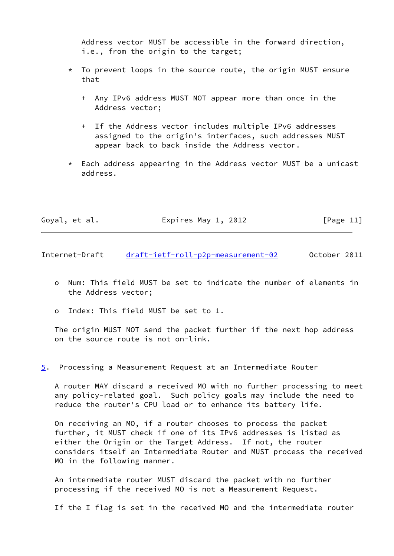Address vector MUST be accessible in the forward direction, i.e., from the origin to the target;

- \* To prevent loops in the source route, the origin MUST ensure that
	- + Any IPv6 address MUST NOT appear more than once in the Address vector;
	- + If the Address vector includes multiple IPv6 addresses assigned to the origin's interfaces, such addresses MUST appear back to back inside the Address vector.
- \* Each address appearing in the Address vector MUST be a unicast address.

| Goyal, et al. | Expires May 1, 2012 | [Page 11] |
|---------------|---------------------|-----------|
|---------------|---------------------|-----------|

<span id="page-12-1"></span>Internet-Draft [draft-ietf-roll-p2p-measurement-02](https://datatracker.ietf.org/doc/pdf/draft-ietf-roll-p2p-measurement-02) October 2011

- o Num: This field MUST be set to indicate the number of elements in the Address vector;
- o Index: This field MUST be set to 1.

 The origin MUST NOT send the packet further if the next hop address on the source route is not on-link.

<span id="page-12-0"></span>[5](#page-12-0). Processing a Measurement Request at an Intermediate Router

 A router MAY discard a received MO with no further processing to meet any policy-related goal. Such policy goals may include the need to reduce the router's CPU load or to enhance its battery life.

 On receiving an MO, if a router chooses to process the packet further, it MUST check if one of its IPv6 addresses is listed as either the Origin or the Target Address. If not, the router considers itself an Intermediate Router and MUST process the received MO in the following manner.

 An intermediate router MUST discard the packet with no further processing if the received MO is not a Measurement Request.

If the I flag is set in the received MO and the intermediate router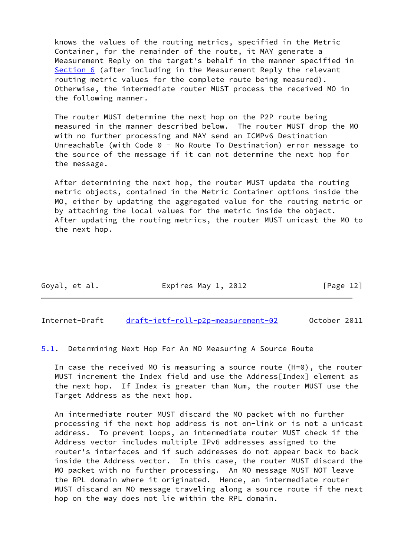knows the values of the routing metrics, specified in the Metric Container, for the remainder of the route, it MAY generate a Measurement Reply on the target's behalf in the manner specified in [Section 6](#page-15-0) (after including in the Measurement Reply the relevant routing metric values for the complete route being measured). Otherwise, the intermediate router MUST process the received MO in the following manner.

 The router MUST determine the next hop on the P2P route being measured in the manner described below. The router MUST drop the MO with no further processing and MAY send an ICMPv6 Destination Unreachable (with Code 0 - No Route To Destination) error message to the source of the message if it can not determine the next hop for the message.

 After determining the next hop, the router MUST update the routing metric objects, contained in the Metric Container options inside the MO, either by updating the aggregated value for the routing metric or by attaching the local values for the metric inside the object. After updating the routing metrics, the router MUST unicast the MO to the next hop.

| Goyal, et al. | Expires May 1, 2012 | [Page 12] |
|---------------|---------------------|-----------|
|---------------|---------------------|-----------|

<span id="page-13-0"></span>Internet-Draft [draft-ietf-roll-p2p-measurement-02](https://datatracker.ietf.org/doc/pdf/draft-ietf-roll-p2p-measurement-02) October 2011

<span id="page-13-1"></span>[5.1](#page-13-1). Determining Next Hop For An MO Measuring A Source Route

 In case the received MO is measuring a source route (H=0), the router MUST increment the Index field and use the Address[Index] element as the next hop. If Index is greater than Num, the router MUST use the Target Address as the next hop.

 An intermediate router MUST discard the MO packet with no further processing if the next hop address is not on-link or is not a unicast address. To prevent loops, an intermediate router MUST check if the Address vector includes multiple IPv6 addresses assigned to the router's interfaces and if such addresses do not appear back to back inside the Address vector. In this case, the router MUST discard the MO packet with no further processing. An MO message MUST NOT leave the RPL domain where it originated. Hence, an intermediate router MUST discard an MO message traveling along a source route if the next hop on the way does not lie within the RPL domain.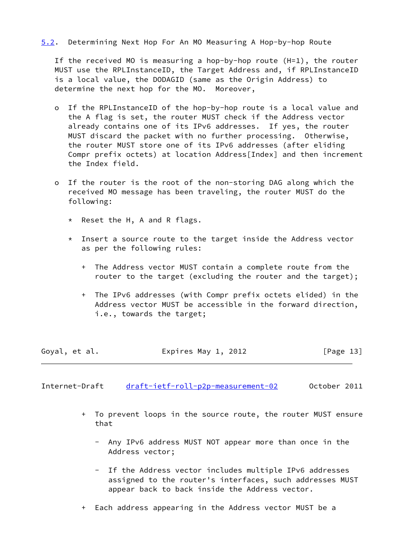## <span id="page-14-1"></span>[5.2](#page-14-1). Determining Next Hop For An MO Measuring A Hop-by-hop Route

 If the received MO is measuring a hop-by-hop route (H=1), the router MUST use the RPLInstanceID, the Target Address and, if RPLInstanceID is a local value, the DODAGID (same as the Origin Address) to determine the next hop for the MO. Moreover,

- o If the RPLInstanceID of the hop-by-hop route is a local value and the A flag is set, the router MUST check if the Address vector already contains one of its IPv6 addresses. If yes, the router MUST discard the packet with no further processing. Otherwise, the router MUST store one of its IPv6 addresses (after eliding Compr prefix octets) at location Address[Index] and then increment the Index field.
- o If the router is the root of the non-storing DAG along which the received MO message has been traveling, the router MUST do the following:
	- \* Reset the H, A and R flags.
	- \* Insert a source route to the target inside the Address vector as per the following rules:
		- + The Address vector MUST contain a complete route from the router to the target (excluding the router and the target);
		- + The IPv6 addresses (with Compr prefix octets elided) in the Address vector MUST be accessible in the forward direction, i.e., towards the target;

| Goyal, et al. | Expires May 1, 2012 | [Page 13] |
|---------------|---------------------|-----------|
|               |                     |           |

<span id="page-14-0"></span>Internet-Draft [draft-ietf-roll-p2p-measurement-02](https://datatracker.ietf.org/doc/pdf/draft-ietf-roll-p2p-measurement-02) October 2011

- + To prevent loops in the source route, the router MUST ensure that
	- Any IPv6 address MUST NOT appear more than once in the Address vector;
	- If the Address vector includes multiple IPv6 addresses assigned to the router's interfaces, such addresses MUST appear back to back inside the Address vector.
- + Each address appearing in the Address vector MUST be a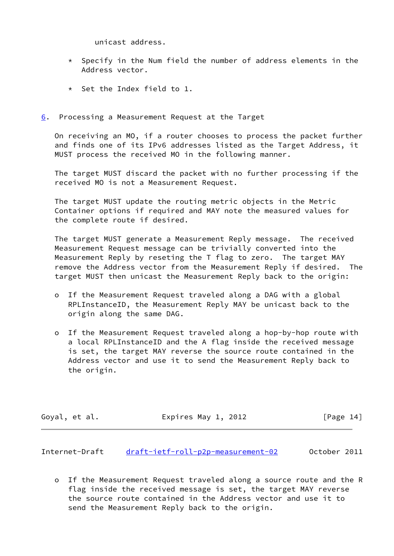unicast address.

- $*$  Specify in the Num field the number of address elements in the Address vector.
- \* Set the Index field to 1.
- <span id="page-15-0"></span>[6](#page-15-0). Processing a Measurement Request at the Target

 On receiving an MO, if a router chooses to process the packet further and finds one of its IPv6 addresses listed as the Target Address, it MUST process the received MO in the following manner.

 The target MUST discard the packet with no further processing if the received MO is not a Measurement Request.

 The target MUST update the routing metric objects in the Metric Container options if required and MAY note the measured values for the complete route if desired.

 The target MUST generate a Measurement Reply message. The received Measurement Request message can be trivially converted into the Measurement Reply by reseting the T flag to zero. The target MAY remove the Address vector from the Measurement Reply if desired. The target MUST then unicast the Measurement Reply back to the origin:

- o If the Measurement Request traveled along a DAG with a global RPLInstanceID, the Measurement Reply MAY be unicast back to the origin along the same DAG.
- o If the Measurement Request traveled along a hop-by-hop route with a local RPLInstanceID and the A flag inside the received message is set, the target MAY reverse the source route contained in the Address vector and use it to send the Measurement Reply back to the origin.

| Goyal, et al. | Expires May 1, 2012 | [Page 14] |
|---------------|---------------------|-----------|
|---------------|---------------------|-----------|

<span id="page-15-1"></span>Internet-Draft [draft-ietf-roll-p2p-measurement-02](https://datatracker.ietf.org/doc/pdf/draft-ietf-roll-p2p-measurement-02) October 2011

 o If the Measurement Request traveled along a source route and the R flag inside the received message is set, the target MAY reverse the source route contained in the Address vector and use it to send the Measurement Reply back to the origin.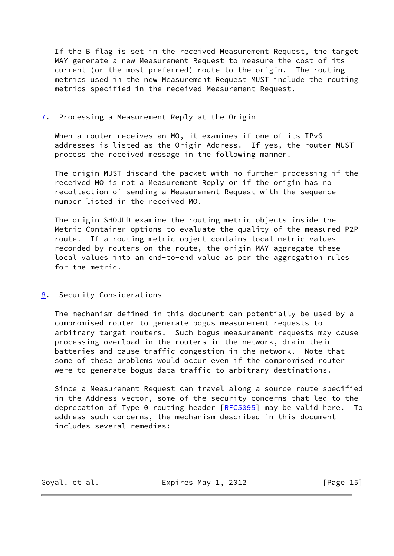If the B flag is set in the received Measurement Request, the target MAY generate a new Measurement Request to measure the cost of its current (or the most preferred) route to the origin. The routing metrics used in the new Measurement Request MUST include the routing metrics specified in the received Measurement Request.

## <span id="page-16-0"></span>[7](#page-16-0). Processing a Measurement Reply at the Origin

When a router receives an MO, it examines if one of its IPv6 addresses is listed as the Origin Address. If yes, the router MUST process the received message in the following manner.

 The origin MUST discard the packet with no further processing if the received MO is not a Measurement Reply or if the origin has no recollection of sending a Measurement Request with the sequence number listed in the received MO.

 The origin SHOULD examine the routing metric objects inside the Metric Container options to evaluate the quality of the measured P2P route. If a routing metric object contains local metric values recorded by routers on the route, the origin MAY aggregate these local values into an end-to-end value as per the aggregation rules for the metric.

## <span id="page-16-1"></span>[8](#page-16-1). Security Considerations

 The mechanism defined in this document can potentially be used by a compromised router to generate bogus measurement requests to arbitrary target routers. Such bogus measurement requests may cause processing overload in the routers in the network, drain their batteries and cause traffic congestion in the network. Note that some of these problems would occur even if the compromised router were to generate bogus data traffic to arbitrary destinations.

 Since a Measurement Request can travel along a source route specified in the Address vector, some of the security concerns that led to the deprecation of Type 0 routing header [\[RFC5095](https://datatracker.ietf.org/doc/pdf/rfc5095)] may be valid here. To address such concerns, the mechanism described in this document includes several remedies:

Goyal, et al. **Expires May 1, 2012** [Page 15]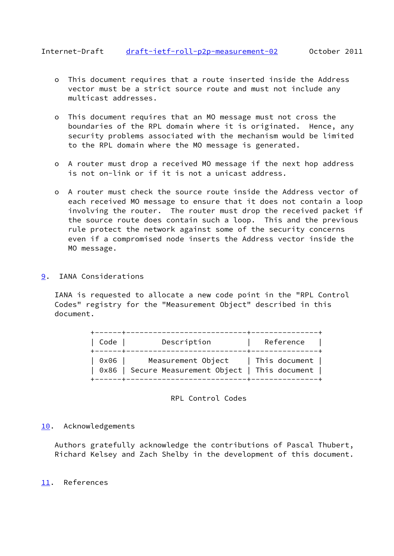- <span id="page-17-1"></span> o This document requires that a route inserted inside the Address vector must be a strict source route and must not include any multicast addresses.
- o This document requires that an MO message must not cross the boundaries of the RPL domain where it is originated. Hence, any security problems associated with the mechanism would be limited to the RPL domain where the MO message is generated.
- o A router must drop a received MO message if the next hop address is not on-link or if it is not a unicast address.
- o A router must check the source route inside the Address vector of each received MO message to ensure that it does not contain a loop involving the router. The router must drop the received packet if the source route does contain such a loop. This and the previous rule protect the network against some of the security concerns even if a compromised node inserts the Address vector inside the MO message.
- <span id="page-17-0"></span>[9](#page-17-0). IANA Considerations

 IANA is requested to allocate a new code point in the "RPL Control Codes" registry for the "Measurement Object" described in this document.

| ------+------<br>Code | ______________+___________<br>Description                                                  | Reference |
|-----------------------|--------------------------------------------------------------------------------------------|-----------|
| 0x06                  | Measurement Object   This document  <br>  0x86   Secure Measurement Object   This document |           |

## RPL Control Codes

## <span id="page-17-2"></span>[10.](#page-17-2) Acknowledgements

 Authors gratefully acknowledge the contributions of Pascal Thubert, Richard Kelsey and Zach Shelby in the development of this document.

## <span id="page-17-3"></span>[11.](#page-17-3) References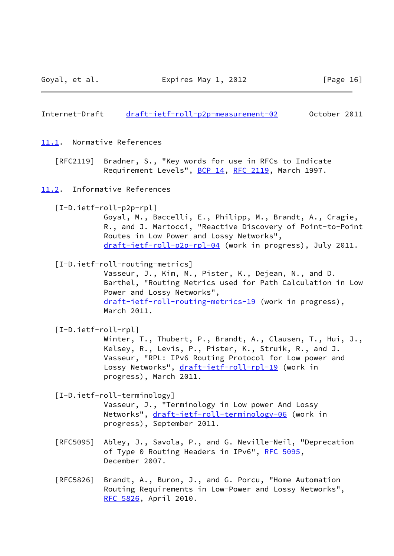<span id="page-18-0"></span>Internet-Draft [draft-ietf-roll-p2p-measurement-02](https://datatracker.ietf.org/doc/pdf/draft-ietf-roll-p2p-measurement-02) October 2011

- <span id="page-18-1"></span>[11.1](#page-18-1). Normative References
	- [RFC2119] Bradner, S., "Key words for use in RFCs to Indicate Requirement Levels", [BCP 14](https://datatracker.ietf.org/doc/pdf/bcp14), [RFC 2119](https://datatracker.ietf.org/doc/pdf/rfc2119), March 1997.
- <span id="page-18-4"></span><span id="page-18-2"></span>[11.2](#page-18-2). Informative References
	- [I-D.ietf-roll-p2p-rpl]

 Goyal, M., Baccelli, E., Philipp, M., Brandt, A., Cragie, R., and J. Martocci, "Reactive Discovery of Point-to-Point Routes in Low Power and Lossy Networks", [draft-ietf-roll-p2p-rpl-04](https://datatracker.ietf.org/doc/pdf/draft-ietf-roll-p2p-rpl-04) (work in progress), July 2011.

<span id="page-18-5"></span>[I-D.ietf-roll-routing-metrics]

 Vasseur, J., Kim, M., Pister, K., Dejean, N., and D. Barthel, "Routing Metrics used for Path Calculation in Low Power and Lossy Networks", [draft-ietf-roll-routing-metrics-19](https://datatracker.ietf.org/doc/pdf/draft-ietf-roll-routing-metrics-19) (work in progress), March 2011.

<span id="page-18-3"></span>[I-D.ietf-roll-rpl]

 Winter, T., Thubert, P., Brandt, A., Clausen, T., Hui, J., Kelsey, R., Levis, P., Pister, K., Struik, R., and J. Vasseur, "RPL: IPv6 Routing Protocol for Low power and Lossy Networks", [draft-ietf-roll-rpl-19](https://datatracker.ietf.org/doc/pdf/draft-ietf-roll-rpl-19) (work in progress), March 2011.

<span id="page-18-6"></span>[I-D.ietf-roll-terminology]

 Vasseur, J., "Terminology in Low power And Lossy Networks", [draft-ietf-roll-terminology-06](https://datatracker.ietf.org/doc/pdf/draft-ietf-roll-terminology-06) (work in progress), September 2011.

- [RFC5095] Abley, J., Savola, P., and G. Neville-Neil, "Deprecation of Type 0 Routing Headers in IPv6", [RFC 5095,](https://datatracker.ietf.org/doc/pdf/rfc5095) December 2007.
- [RFC5826] Brandt, A., Buron, J., and G. Porcu, "Home Automation Routing Requirements in Low-Power and Lossy Networks", [RFC 5826,](https://datatracker.ietf.org/doc/pdf/rfc5826) April 2010.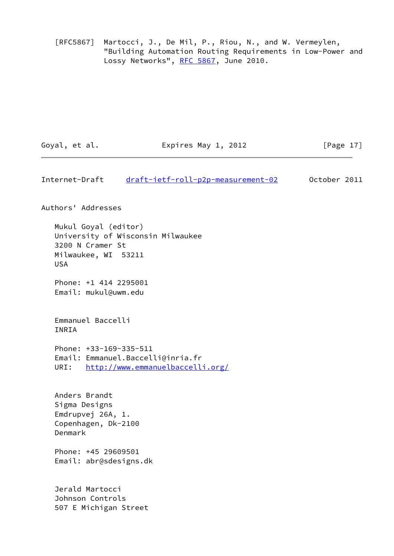[RFC5867] Martocci, J., De Mil, P., Riou, N., and W. Vermeylen, "Building Automation Routing Requirements in Low-Power and Lossy Networks", [RFC 5867,](https://datatracker.ietf.org/doc/pdf/rfc5867) June 2010.

| Goyal, et al. | Expires May 1, 2012 | [Page 17] |
|---------------|---------------------|-----------|
|               |                     |           |

Internet-Draft [draft-ietf-roll-p2p-measurement-02](https://datatracker.ietf.org/doc/pdf/draft-ietf-roll-p2p-measurement-02) October 2011

Authors' Addresses

 Mukul Goyal (editor) University of Wisconsin Milwaukee 3200 N Cramer St Milwaukee, WI 53211 USA

 Phone: +1 414 2295001 Email: mukul@uwm.edu

 Emmanuel Baccelli INRIA

 Phone: +33-169-335-511 Email: Emmanuel.Baccelli@inria.fr URI: <http://www.emmanuelbaccelli.org/>

 Anders Brandt Sigma Designs Emdrupvej 26A, 1. Copenhagen, Dk-2100 Denmark

 Phone: +45 29609501 Email: abr@sdesigns.dk

 Jerald Martocci Johnson Controls 507 E Michigan Street